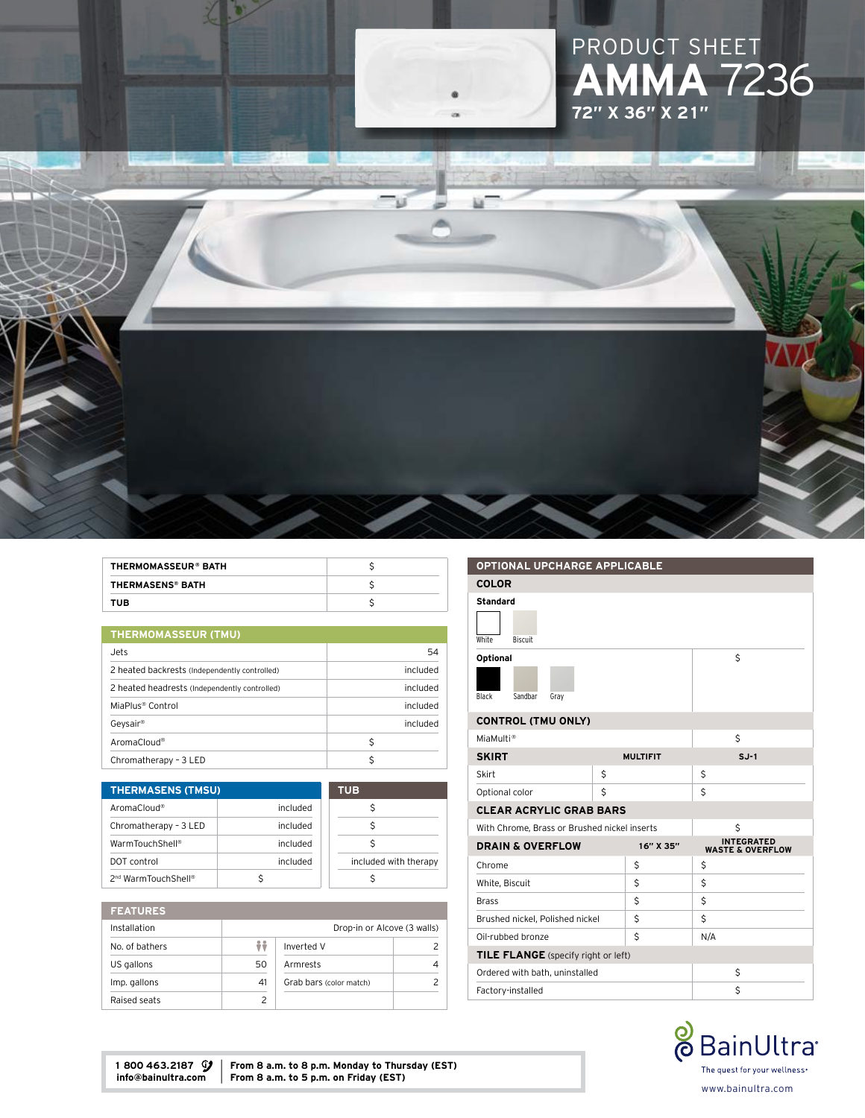



| <b>THERMOMASSEUR® BATH</b> |  |
|----------------------------|--|
| <b>THERMASENS® BATH</b>    |  |
| <b>TUB</b>                 |  |

| <b>THERMOMASSEUR (TMU)</b>                    |          |  |
|-----------------------------------------------|----------|--|
| Jets                                          | 54       |  |
| 2 heated backrests (Independently controlled) | included |  |
| 2 heated headrests (Independently controlled) | included |  |
| MiaPlus <sup>®</sup> Control                  | included |  |
| Geysair®                                      | included |  |
| AromaCloud®                                   | Ś        |  |
| Chromatherapy - 3 LED                         |          |  |

| <b>THERMASENS (TMSU)</b>        |          | <b>TUB</b>            |
|---------------------------------|----------|-----------------------|
| AromaCloud®                     | included |                       |
| Chromatherapy - 3 LED           | included | Ś                     |
| WarmTouchShell®                 | included |                       |
| DOT control                     | included | included with therapy |
| 2 <sup>nd</sup> WarmTouchShell® |          |                       |

| <b>FEATURES</b> |    |                             |  |
|-----------------|----|-----------------------------|--|
| Installation    |    | Drop-in or Alcove (3 walls) |  |
| No. of bathers  | ÷÷ | Inverted V                  |  |
| US gallons      | 50 | Armrests                    |  |
| Imp. gallons    | 41 | Grab bars (color match)     |  |
| Raised seats    |    |                             |  |

| <b>OPTIONAL UPCHARGE APPLICABLE</b>          |   |                 |     |                                                  |
|----------------------------------------------|---|-----------------|-----|--------------------------------------------------|
| <b>COLOR</b>                                 |   |                 |     |                                                  |
| <b>Standard</b><br>White<br><b>Biscuit</b>   |   |                 |     |                                                  |
| Optional<br>Sandbar<br>Black<br>Gray         |   |                 |     | Ś                                                |
| <b>CONTROL (TMU ONLY)</b>                    |   |                 |     |                                                  |
| MiaMulti <sup>®</sup>                        |   |                 |     | Ś                                                |
| <b>SKIRT</b>                                 |   | <b>MULTIFIT</b> |     | $S.J-1$                                          |
| Skirt                                        | Ś |                 | \$  |                                                  |
| Optional color                               | Ś |                 | Ś   |                                                  |
| <b>CLEAR ACRYLIC GRAB BARS</b>               |   |                 |     |                                                  |
| With Chrome, Brass or Brushed nickel inserts |   |                 |     | \$                                               |
| <b>DRAIN &amp; OVERFLOW</b>                  |   | 16" X 35"       |     | <b>INTEGRATED</b><br><b>WASTE &amp; OVERFLOW</b> |
| Chrome                                       |   | Ś               | \$  |                                                  |
| White, Biscuit                               |   | \$              | \$  |                                                  |
| <b>Brass</b>                                 |   | Ś               | Ś   |                                                  |
| Brushed nickel, Polished nickel              |   | Ś               | Ś   |                                                  |
| Oil-rubbed bronze                            |   | Ś               | N/A |                                                  |
| <b>TILE FLANGE</b> (specify right or left)   |   |                 |     |                                                  |
| Ordered with bath, uninstalled               |   |                 |     | \$                                               |
| Factory-installed                            |   |                 |     | Ś                                                |



1 800 463.2187  $\mathcal{G}$  | From 8 a.m. to 8 p.m. Monday to Thursday (EST) info@bainultra.com | From 8 a.m. to 5 p.m. on Friday (EST)